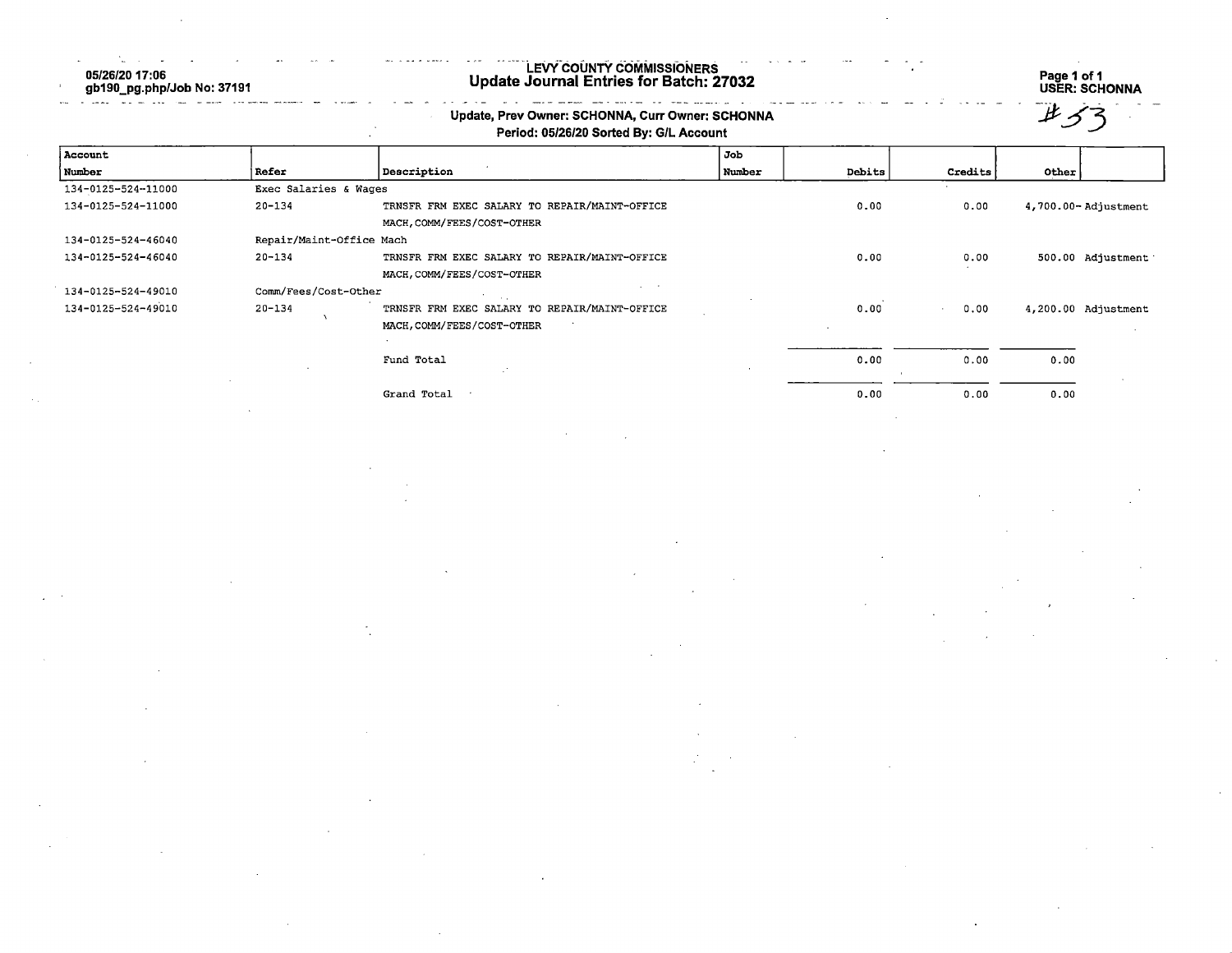05/26/20 17:06<br>gb190\_pg.php/Job No: 37191 

## LEVY COUNTY COMMISSIONERS<br>Update Journal Entries for Batch: 27032

antra le communente.

n.

Page 1 of 1<br>USER: SCHONNA

| jł |  |
|----|--|
|    |  |
|    |  |
|    |  |

|                    |                          | Update, Prev Owner: SCHONNA, Curr Owner: SCHONNA<br>Period: 05/26/20 Sorted By: G/L Account |        |        |         |                     |
|--------------------|--------------------------|---------------------------------------------------------------------------------------------|--------|--------|---------|---------------------|
| Account            |                          |                                                                                             | Job    |        |         |                     |
| Number             | Refer                    | Description                                                                                 | Number | Debits | Credits | Other               |
| 134-0125-524-11000 |                          | Exec Salaries & Wages                                                                       |        |        |         |                     |
| 134-0125-524-11000 | $20 - 134$               | TRNSFR FRM EXEC SALARY TO REPAIR/MAINT-OFFICE                                               |        | 0.00   | 0.00    | 4,700.00-Adjustment |
|                    |                          | MACH, COMM/FEES/COST-OTHER                                                                  |        |        |         |                     |
| 134-0125-524-46040 | Repair/Maint-Office Mach |                                                                                             |        |        |         |                     |
| 134-0125-524-46040 | $20 - 134$               | TRNSFR FRM EXEC SALARY TO REPAIR/MAINT-OFFICE                                               |        | 0.00   | 0.00    | 500.00 Adjustment   |
|                    |                          | MACH, COMM/FEES/COST-OTHER                                                                  |        |        |         |                     |
| 134-0125-524-49010 | Comm/Fees/Cost-Other     |                                                                                             |        |        |         |                     |
| 134-0125-524-49010 | $20 - 134$               | TRNSFR FRM EXEC SALARY TO REPAIR/MAINT-OFFICE                                               |        | 0.00   | 0.00    | 4,200.00 Adjustment |
|                    |                          | MACH, COMM/FEES/COST-OTHER                                                                  |        |        |         |                     |
|                    |                          |                                                                                             |        |        |         |                     |
|                    |                          | Fund Total                                                                                  |        | 0.00   | 0.00    | 0.00                |
|                    |                          |                                                                                             |        |        |         |                     |
|                    |                          | Grand Total                                                                                 |        | 0.00   | 0.00    | 0.00                |
|                    |                          |                                                                                             |        |        |         |                     |